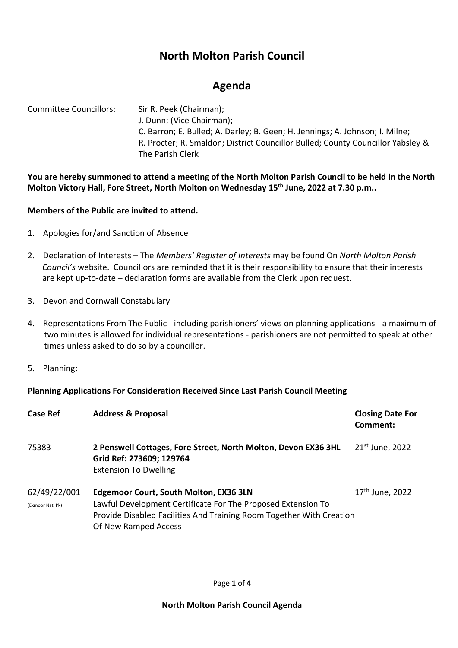# **North Molton Parish Council**

## **Agenda**

Committee Councillors: Sir R. Peek (Chairman); J. Dunn; (Vice Chairman); C. Barron; E. Bulled; A. Darley; B. Geen; H. Jennings; A. Johnson; I. Milne; R. Procter; R. Smaldon; District Councillor Bulled; County Councillor Yabsley & The Parish Clerk

**You are hereby summoned to attend a meeting of the North Molton Parish Council to be held in the North Molton Victory Hall, Fore Street, North Molton on Wednesday 15 th June, 2022 at 7.30 p.m..** 

## **Members of the Public are invited to attend.**

- 1. Apologies for/and Sanction of Absence
- 2. Declaration of Interests The *Members' Register of Interests* may be found On *North Molton Parish Council's* website. Councillors are reminded that it is their responsibility to ensure that their interests are kept up-to-date – declaration forms are available from the Clerk upon request.
- 3. Devon and Cornwall Constabulary
- 4. Representations From The Public including parishioners' views on planning applications a maximum of two minutes is allowed for individual representations - parishioners are not permitted to speak at other times unless asked to do so by a councillor.
- 5. Planning:

### **Planning Applications For Consideration Received Since Last Parish Council Meeting**

| <b>Case Ref</b>                  | <b>Address &amp; Proposal</b>                                                                                                                                                                                 | <b>Closing Date For</b><br>Comment: |
|----------------------------------|---------------------------------------------------------------------------------------------------------------------------------------------------------------------------------------------------------------|-------------------------------------|
| 75383                            | 2 Penswell Cottages, Fore Street, North Molton, Devon EX36 3HL<br>Grid Ref: 273609; 129764<br><b>Extension To Dwelling</b>                                                                                    | $21st$ June, 2022                   |
| 62/49/22/001<br>(Exmoor Nat. Pk) | <b>Edgemoor Court, South Molton, EX36 3LN</b><br>Lawful Development Certificate For The Proposed Extension To<br>Provide Disabled Facilities And Training Room Together With Creation<br>Of New Ramped Access | 17 <sup>th</sup> June, 2022         |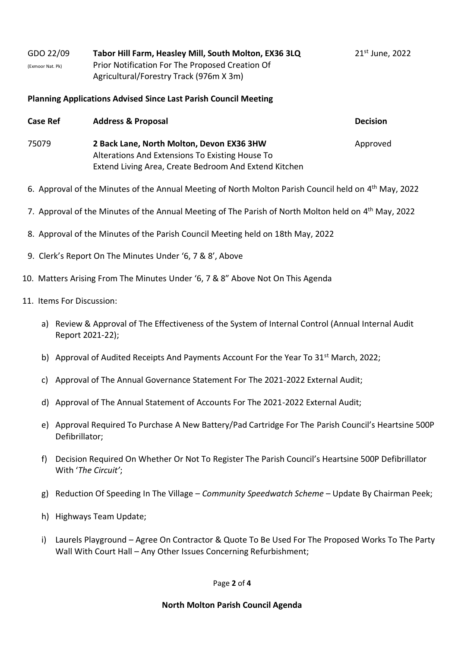| GDO 22/09        | Tabor Hill Farm, Heasley Mill, South Molton, EX36 3LQ | 21 <sup>st</sup> June, 2022 |
|------------------|-------------------------------------------------------|-----------------------------|
| (Exmoor Nat. Pk) | Prior Notification For The Proposed Creation Of       |                             |
|                  | Agricultural/Forestry Track (976m X 3m)               |                             |

#### **Planning Applications Advised Since Last Parish Council Meeting**

| <b>Case Ref</b> | <b>Address &amp; Proposal</b>                                                                | <b>Decision</b> |
|-----------------|----------------------------------------------------------------------------------------------|-----------------|
| 75079           | 2 Back Lane, North Molton, Devon EX36 3HW<br>Alterations And Extensions To Existing House To | Approved        |
|                 | Extend Living Area, Create Bedroom And Extend Kitchen                                        |                 |

- 6. Approval of the Minutes of the Annual Meeting of North Molton Parish Council held on 4<sup>th</sup> May, 2022
- 7. Approval of the Minutes of the Annual Meeting of The Parish of North Molton held on 4<sup>th</sup> May, 2022
- 8. Approval of the Minutes of the Parish Council Meeting held on 18th May, 2022
- 9. Clerk's Report On The Minutes Under '6, 7 & 8', Above
- 10. Matters Arising From The Minutes Under '6, 7 & 8" Above Not On This Agenda

#### 11. Items For Discussion:

- a) Review & Approval of The Effectiveness of the System of Internal Control (Annual Internal Audit Report 2021-22);
- b) Approval of Audited Receipts And Payments Account For the Year To 31<sup>st</sup> March, 2022;
- c) Approval of The Annual Governance Statement For The 2021-2022 External Audit;
- d) Approval of The Annual Statement of Accounts For The 2021-2022 External Audit;
- e) Approval Required To Purchase A New Battery/Pad Cartridge For The Parish Council's Heartsine 500P Defibrillator;
- f) Decision Required On Whether Or Not To Register The Parish Council's Heartsine 500P Defibrillator With '*The Circuit'*;
- g) Reduction Of Speeding In The Village *Community Speedwatch Scheme* Update By Chairman Peek;
- h) Highways Team Update;
- i) Laurels Playground Agree On Contractor & Quote To Be Used For The Proposed Works To The Party Wall With Court Hall – Any Other Issues Concerning Refurbishment;

#### Page **2** of **4**

#### **North Molton Parish Council Agenda**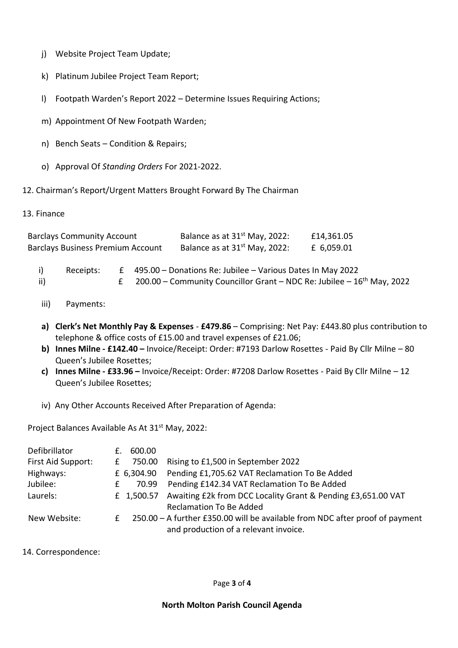- j) Website Project Team Update;
- k) Platinum Jubilee Project Team Report;
- l) Footpath Warden's Report 2022 Determine Issues Requiring Actions;
- m) Appointment Of New Footpath Warden;
- n) Bench Seats Condition & Repairs;
- o) Approval Of *Standing Orders* For 2021-2022.
- 12. Chairman's Report/Urgent Matters Brought Forward By The Chairman
- 13. Finance

| <b>Barclays Community Account</b><br><b>Barclays Business Premium Account</b> |           |   |  | Balance as at 31 <sup>st</sup> May, 2022:<br>Balance as at 31 <sup>st</sup> May, 2022:                                                           | £14,361.05<br>£ 6,059.01 |
|-------------------------------------------------------------------------------|-----------|---|--|--------------------------------------------------------------------------------------------------------------------------------------------------|--------------------------|
|                                                                               |           |   |  |                                                                                                                                                  |                          |
| i)<br>ii)                                                                     | Receipts: | £ |  | 495.00 - Donations Re: Jubilee - Various Dates In May 2022<br>200.00 - Community Councillor Grant - NDC Re: Jubilee - 16 <sup>th</sup> May, 2022 |                          |

- iii) Payments:
- **a) Clerk's Net Monthly Pay & Expenses £479.86** Comprising: Net Pay: £443.80 plus contribution to telephone & office costs of £15.00 and travel expenses of £21.06;
- **b) Innes Milne - £142.40 –** Invoice/Receipt: Order: #7193 Darlow Rosettes Paid By Cllr Milne 80 Queen's Jubilee Rosettes;
- **c) Innes Milne - £33.96 –** Invoice/Receipt: Order: #7208 Darlow Rosettes Paid By Cllr Milne 12 Queen's Jubilee Rosettes;
- iv) Any Other Accounts Received After Preparation of Agenda:

Project Balances Available As At 31<sup>st</sup> May, 2022:

| Defibrillator      | 600.00                                                                       |
|--------------------|------------------------------------------------------------------------------|
| First Aid Support: | Rising to £1,500 in September 2022<br>750.00                                 |
| Highways:          | Pending £1,705.62 VAT Reclamation To Be Added<br>£ 6,304.90                  |
| Jubilee:           | Pending £142.34 VAT Reclamation To Be Added<br>70.99                         |
| Laurels:           | Awaiting £2k from DCC Locality Grant & Pending £3,651.00 VAT<br>£ 1,500.57   |
|                    | <b>Reclamation To Be Added</b>                                               |
| New Website:       | 250.00 - A further £350.00 will be available from NDC after proof of payment |
|                    | and production of a relevant invoice.                                        |

14. Correspondence: